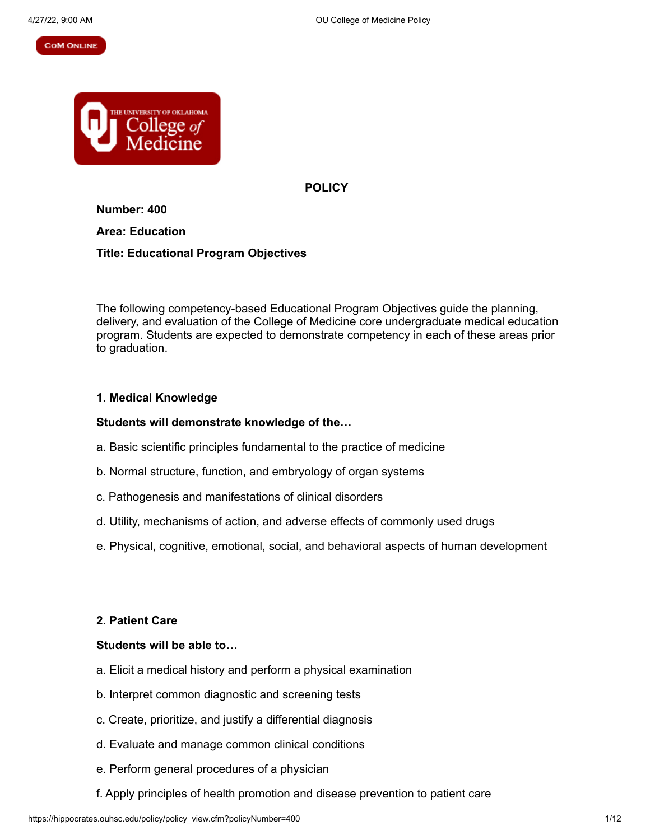#### **COM ONLINE**



**POLICY**

**Number: 400 Area: Education Title: Educational Program Objectives**

The following competency-based Educational Program Objectives guide the planning, delivery, and evaluation of the College of Medicine core undergraduate medical education program. Students are expected to demonstrate competency in each of these areas prior to graduation.

### **1. Medical Knowledge**

### **Students will demonstrate knowledge of the…**

- a. Basic scientific principles fundamental to the practice of medicine
- b. Normal structure, function, and embryology of organ systems
- c. Pathogenesis and manifestations of clinical disorders
- d. Utility, mechanisms of action, and adverse effects of commonly used drugs
- e. Physical, cognitive, emotional, social, and behavioral aspects of human development

# **2. Patient Care**

### **Students will be able to…**

- a. Elicit a medical history and perform a physical examination
- b. Interpret common diagnostic and screening tests
- c. Create, prioritize, and justify a differential diagnosis
- d. Evaluate and manage common clinical conditions
- e. Perform general procedures of a physician
- f. Apply principles of health promotion and disease prevention to patient care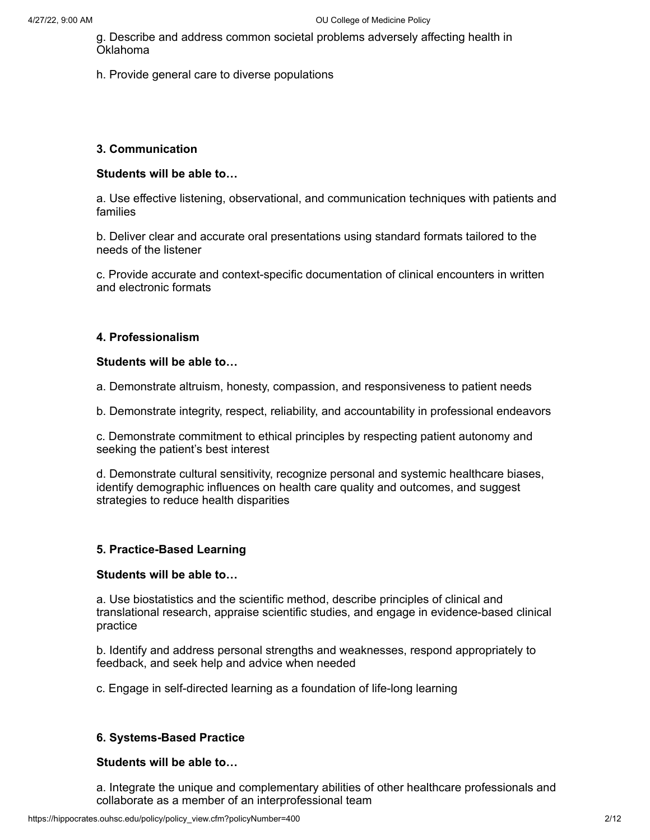g. Describe and address common societal problems adversely affecting health in Oklahoma

h. Provide general care to diverse populations

## **3. Communication**

### **Students will be able to…**

a. Use effective listening, observational, and communication techniques with patients and families

b. Deliver clear and accurate oral presentations using standard formats tailored to the needs of the listener

c. Provide accurate and context-specific documentation of clinical encounters in written and electronic formats

### **4. Professionalism**

### **Students will be able to…**

a. Demonstrate altruism, honesty, compassion, and responsiveness to patient needs

b. Demonstrate integrity, respect, reliability, and accountability in professional endeavors

c. Demonstrate commitment to ethical principles by respecting patient autonomy and seeking the patient's best interest

d. Demonstrate cultural sensitivity, recognize personal and systemic healthcare biases, identify demographic influences on health care quality and outcomes, and suggest strategies to reduce health disparities

# **5. Practice-Based Learning**

### **Students will be able to…**

a. Use biostatistics and the scientific method, describe principles of clinical and translational research, appraise scientific studies, and engage in evidence-based clinical practice

b. Identify and address personal strengths and weaknesses, respond appropriately to feedback, and seek help and advice when needed

c. Engage in self-directed learning as a foundation of life-long learning

# **6. Systems-Based Practice**

### **Students will be able to…**

a. Integrate the unique and complementary abilities of other healthcare professionals and collaborate as a member of an interprofessional team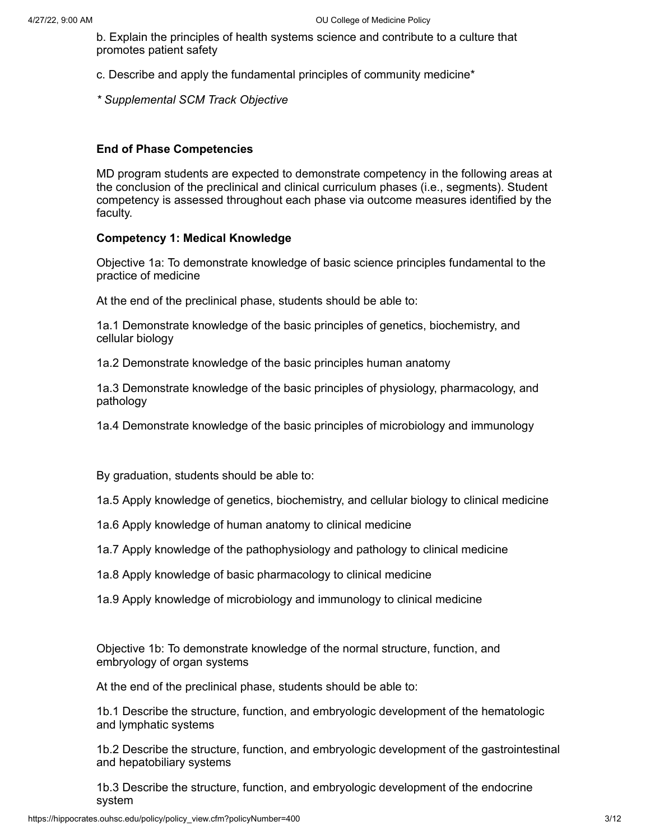b. Explain the principles of health systems science and contribute to a culture that promotes patient safety

c. Describe and apply the fundamental principles of community medicine\*

*\* Supplemental SCM Track Objective*

# **End of Phase Competencies**

MD program students are expected to demonstrate competency in the following areas at the conclusion of the preclinical and clinical curriculum phases (i.e., segments). Student competency is assessed throughout each phase via outcome measures identified by the faculty.

### **Competency 1: Medical Knowledge**

Objective 1a: To demonstrate knowledge of basic science principles fundamental to the practice of medicine

At the end of the preclinical phase, students should be able to:

1a.1 Demonstrate knowledge of the basic principles of genetics, biochemistry, and cellular biology

1a.2 Demonstrate knowledge of the basic principles human anatomy

1a.3 Demonstrate knowledge of the basic principles of physiology, pharmacology, and pathology

1a.4 Demonstrate knowledge of the basic principles of microbiology and immunology

By graduation, students should be able to:

1a.5 Apply knowledge of genetics, biochemistry, and cellular biology to clinical medicine

- 1a.6 Apply knowledge of human anatomy to clinical medicine
- 1a.7 Apply knowledge of the pathophysiology and pathology to clinical medicine
- 1a.8 Apply knowledge of basic pharmacology to clinical medicine

1a.9 Apply knowledge of microbiology and immunology to clinical medicine

Objective 1b: To demonstrate knowledge of the normal structure, function, and embryology of organ systems

At the end of the preclinical phase, students should be able to:

1b.1 Describe the structure, function, and embryologic development of the hematologic and lymphatic systems

1b.2 Describe the structure, function, and embryologic development of the gastrointestinal and hepatobiliary systems

1b.3 Describe the structure, function, and embryologic development of the endocrine system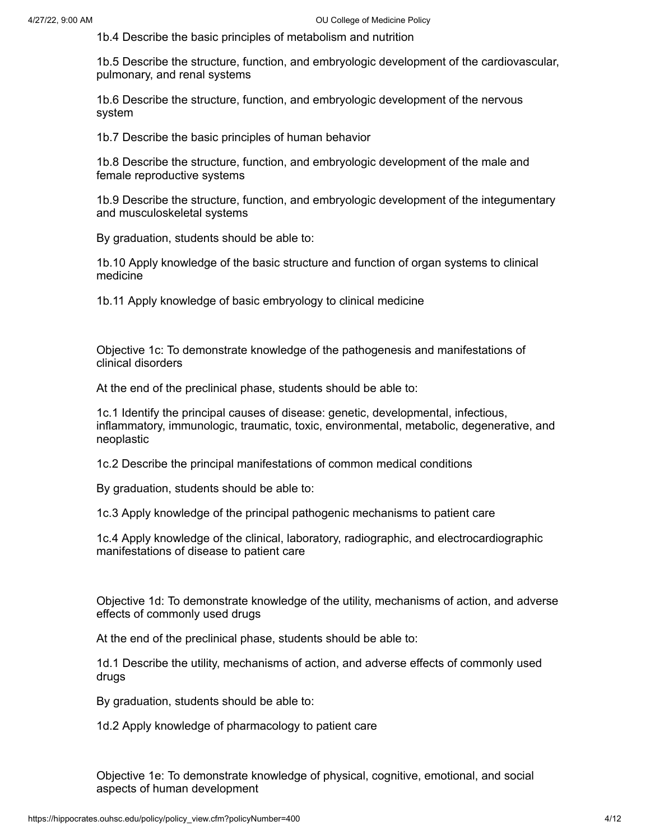1b.4 Describe the basic principles of metabolism and nutrition

1b.5 Describe the structure, function, and embryologic development of the cardiovascular, pulmonary, and renal systems

1b.6 Describe the structure, function, and embryologic development of the nervous system

1b.7 Describe the basic principles of human behavior

1b.8 Describe the structure, function, and embryologic development of the male and female reproductive systems

1b.9 Describe the structure, function, and embryologic development of the integumentary and musculoskeletal systems

By graduation, students should be able to:

1b.10 Apply knowledge of the basic structure and function of organ systems to clinical medicine

1b.11 Apply knowledge of basic embryology to clinical medicine

Objective 1c: To demonstrate knowledge of the pathogenesis and manifestations of clinical disorders

At the end of the preclinical phase, students should be able to:

1c.1 Identify the principal causes of disease: genetic, developmental, infectious, inflammatory, immunologic, traumatic, toxic, environmental, metabolic, degenerative, and neoplastic

1c.2 Describe the principal manifestations of common medical conditions

By graduation, students should be able to:

1c.3 Apply knowledge of the principal pathogenic mechanisms to patient care

1c.4 Apply knowledge of the clinical, laboratory, radiographic, and electrocardiographic manifestations of disease to patient care

Objective 1d: To demonstrate knowledge of the utility, mechanisms of action, and adverse effects of commonly used drugs

At the end of the preclinical phase, students should be able to:

1d.1 Describe the utility, mechanisms of action, and adverse effects of commonly used drugs

By graduation, students should be able to:

1d.2 Apply knowledge of pharmacology to patient care

Objective 1e: To demonstrate knowledge of physical, cognitive, emotional, and social aspects of human development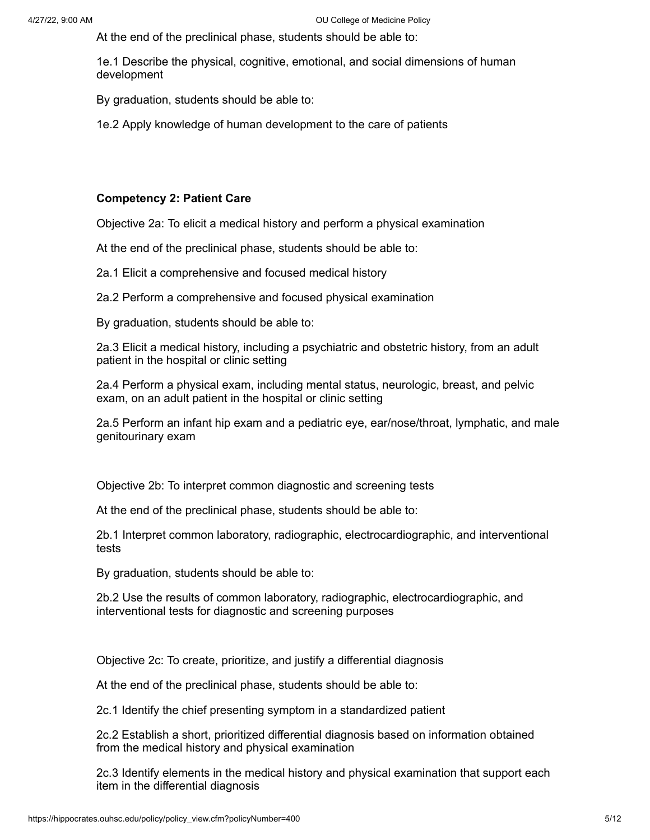At the end of the preclinical phase, students should be able to:

1e.1 Describe the physical, cognitive, emotional, and social dimensions of human development

By graduation, students should be able to:

1e.2 Apply knowledge of human development to the care of patients

### **Competency 2: Patient Care**

Objective 2a: To elicit a medical history and perform a physical examination

At the end of the preclinical phase, students should be able to:

2a.1 Elicit a comprehensive and focused medical history

2a.2 Perform a comprehensive and focused physical examination

By graduation, students should be able to:

2a.3 Elicit a medical history, including a psychiatric and obstetric history, from an adult patient in the hospital or clinic setting

2a.4 Perform a physical exam, including mental status, neurologic, breast, and pelvic exam, on an adult patient in the hospital or clinic setting

2a.5 Perform an infant hip exam and a pediatric eye, ear/nose/throat, lymphatic, and male genitourinary exam

Objective 2b: To interpret common diagnostic and screening tests

At the end of the preclinical phase, students should be able to:

2b.1 Interpret common laboratory, radiographic, electrocardiographic, and interventional tests

By graduation, students should be able to:

2b.2 Use the results of common laboratory, radiographic, electrocardiographic, and interventional tests for diagnostic and screening purposes

Objective 2c: To create, prioritize, and justify a differential diagnosis

At the end of the preclinical phase, students should be able to:

2c.1 Identify the chief presenting symptom in a standardized patient

2c.2 Establish a short, prioritized differential diagnosis based on information obtained from the medical history and physical examination

2c.3 Identify elements in the medical history and physical examination that support each item in the differential diagnosis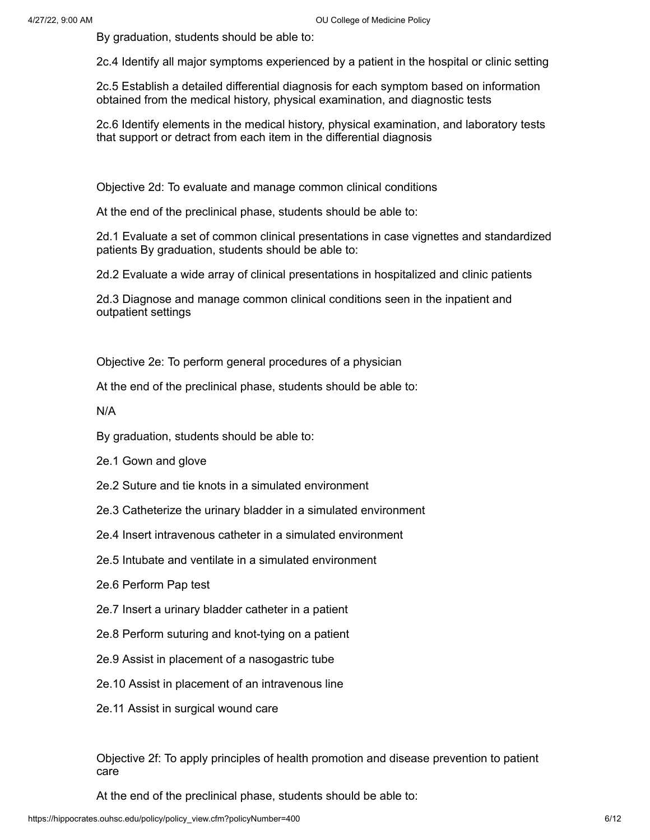By graduation, students should be able to:

2c.4 Identify all major symptoms experienced by a patient in the hospital or clinic setting

2c.5 Establish a detailed differential diagnosis for each symptom based on information obtained from the medical history, physical examination, and diagnostic tests

2c.6 Identify elements in the medical history, physical examination, and laboratory tests that support or detract from each item in the differential diagnosis

Objective 2d: To evaluate and manage common clinical conditions

At the end of the preclinical phase, students should be able to:

2d.1 Evaluate a set of common clinical presentations in case vignettes and standardized patients By graduation, students should be able to:

2d.2 Evaluate a wide array of clinical presentations in hospitalized and clinic patients

2d.3 Diagnose and manage common clinical conditions seen in the inpatient and outpatient settings

Objective 2e: To perform general procedures of a physician

At the end of the preclinical phase, students should be able to:

N/A

- By graduation, students should be able to:
- 2e.1 Gown and glove
- 2e.2 Suture and tie knots in a simulated environment
- 2e.3 Catheterize the urinary bladder in a simulated environment
- 2e.4 Insert intravenous catheter in a simulated environment
- 2e.5 Intubate and ventilate in a simulated environment
- 2e.6 Perform Pap test
- 2e.7 Insert a urinary bladder catheter in a patient
- 2e.8 Perform suturing and knot-tying on a patient
- 2e.9 Assist in placement of a nasogastric tube
- 2e.10 Assist in placement of an intravenous line
- 2e.11 Assist in surgical wound care

Objective 2f: To apply principles of health promotion and disease prevention to patient care

At the end of the preclinical phase, students should be able to: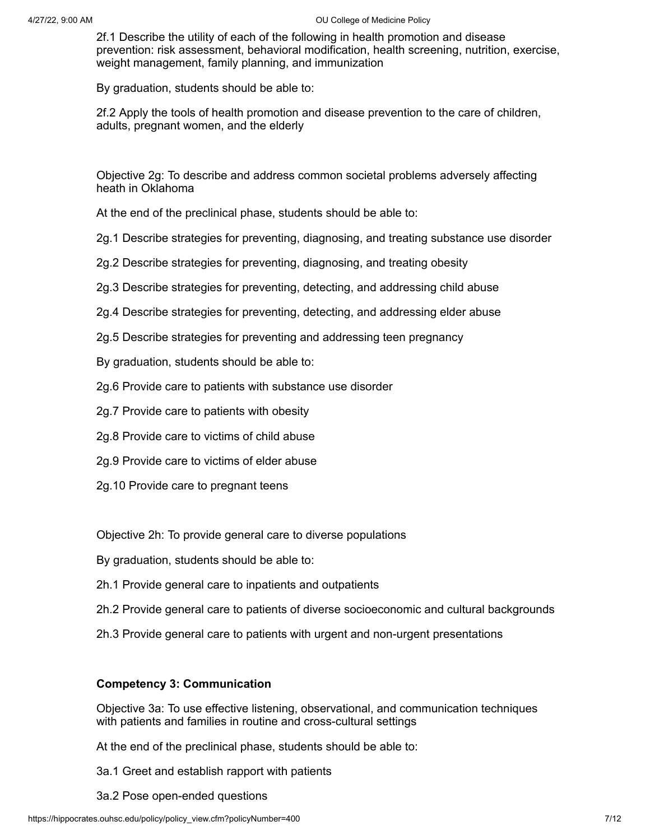2f.1 Describe the utility of each of the following in health promotion and disease prevention: risk assessment, behavioral modification, health screening, nutrition, exercise, weight management, family planning, and immunization

By graduation, students should be able to:

2f.2 Apply the tools of health promotion and disease prevention to the care of children, adults, pregnant women, and the elderly

Objective 2g: To describe and address common societal problems adversely affecting heath in Oklahoma

At the end of the preclinical phase, students should be able to:

- 2g.1 Describe strategies for preventing, diagnosing, and treating substance use disorder
- 2g.2 Describe strategies for preventing, diagnosing, and treating obesity
- 2g.3 Describe strategies for preventing, detecting, and addressing child abuse
- 2g.4 Describe strategies for preventing, detecting, and addressing elder abuse
- 2g.5 Describe strategies for preventing and addressing teen pregnancy
- By graduation, students should be able to:
- 2g.6 Provide care to patients with substance use disorder
- 2g.7 Provide care to patients with obesity
- 2g.8 Provide care to victims of child abuse
- 2g.9 Provide care to victims of elder abuse
- 2g.10 Provide care to pregnant teens

Objective 2h: To provide general care to diverse populations

- By graduation, students should be able to:
- 2h.1 Provide general care to inpatients and outpatients
- 2h.2 Provide general care to patients of diverse socioeconomic and cultural backgrounds
- 2h.3 Provide general care to patients with urgent and non-urgent presentations

#### **Competency 3: Communication**

Objective 3a: To use effective listening, observational, and communication techniques with patients and families in routine and cross-cultural settings

At the end of the preclinical phase, students should be able to:

- 3a.1 Greet and establish rapport with patients
- 3a.2 Pose open-ended questions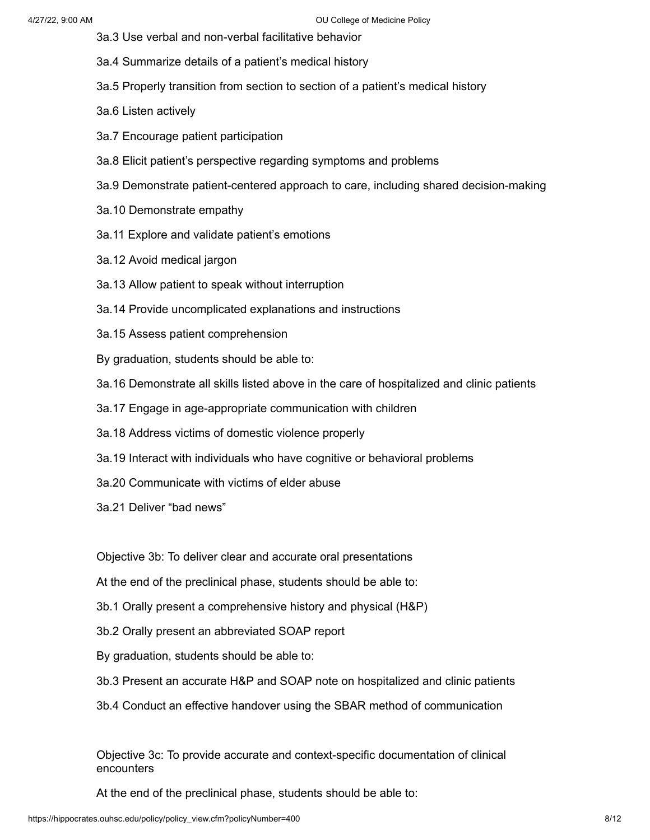- 3a.3 Use verbal and non-verbal facilitative behavior
- 3a.4 Summarize details of a patient's medical history
- 3a.5 Properly transition from section to section of a patient's medical history
- 3a.6 Listen actively
- 3a.7 Encourage patient participation
- 3a.8 Elicit patient's perspective regarding symptoms and problems
- 3a.9 Demonstrate patient-centered approach to care, including shared decision-making
- 3a.10 Demonstrate empathy
- 3a.11 Explore and validate patient's emotions
- 3a.12 Avoid medical jargon
- 3a.13 Allow patient to speak without interruption
- 3a.14 Provide uncomplicated explanations and instructions
- 3a.15 Assess patient comprehension
- By graduation, students should be able to:
- 3a.16 Demonstrate all skills listed above in the care of hospitalized and clinic patients
- 3a.17 Engage in age-appropriate communication with children
- 3a.18 Address victims of domestic violence properly
- 3a.19 Interact with individuals who have cognitive or behavioral problems
- 3a.20 Communicate with victims of elder abuse
- 3a.21 Deliver "bad news"

Objective 3b: To deliver clear and accurate oral presentations

- At the end of the preclinical phase, students should be able to:
- 3b.1 Orally present a comprehensive history and physical (H&P)
- 3b.2 Orally present an abbreviated SOAP report
- By graduation, students should be able to:
- 3b.3 Present an accurate H&P and SOAP note on hospitalized and clinic patients
- 3b.4 Conduct an effective handover using the SBAR method of communication

Objective 3c: To provide accurate and context-specific documentation of clinical encounters

At the end of the preclinical phase, students should be able to: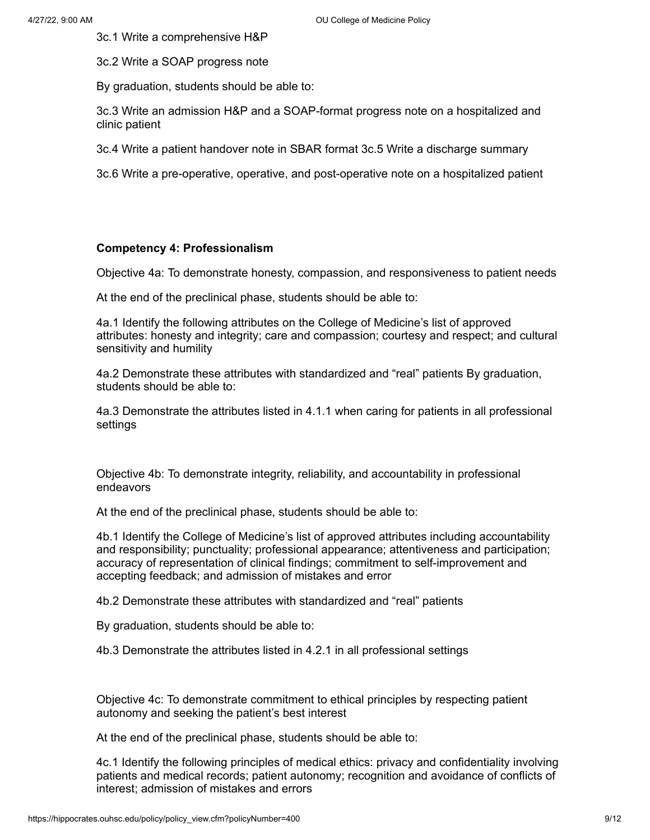3c.2 Write a SOAP progress note

3c.1 Write a comprehensive H&P

By graduation, students should be able to:

3c.3 Write an admission H&P and a SOAP-format progress note on a hospitalized and clinic patient

3c.4 Write a patient handover note in SBAR format 3c.5 Write a discharge summary

3c.6 Write a pre-operative, operative, and post-operative note on a hospitalized patient

#### **Competency 4: Professionalism**

Objective 4a: To demonstrate honesty, compassion, and responsiveness to patient needs

At the end of the preclinical phase, students should be able to:

4a.1 Identify the following attributes on the College of Medicine's list of approved attributes: honesty and integrity; care and compassion; courtesy and respect; and cultural sensitivity and humility

4a.2 Demonstrate these attributes with standardized and "real" patients By graduation, students should be able to:

4a.3 Demonstrate the attributes listed in 4.1.1 when caring for patients in all professional settings

Objective 4b: To demonstrate integrity, reliability, and accountability in professional endeavors

At the end of the preclinical phase, students should be able to:

4b.1 Identify the College of Medicine's list of approved attributes including accountability and responsibility; punctuality; professional appearance; attentiveness and participation; accuracy of representation of clinical findings; commitment to self-improvement and accepting feedback; and admission of mistakes and error

4b.2 Demonstrate these attributes with standardized and "real" patients

By graduation, students should be able to:

4b.3 Demonstrate the attributes listed in 4.2.1 in all professional settings

Objective 4c: To demonstrate commitment to ethical principles by respecting patient autonomy and seeking the patient's best interest

At the end of the preclinical phase, students should be able to:

4c.1 Identify the following principles of medical ethics: privacy and confidentiality involving patients and medical records; patient autonomy; recognition and avoidance of conflicts of interest; admission of mistakes and errors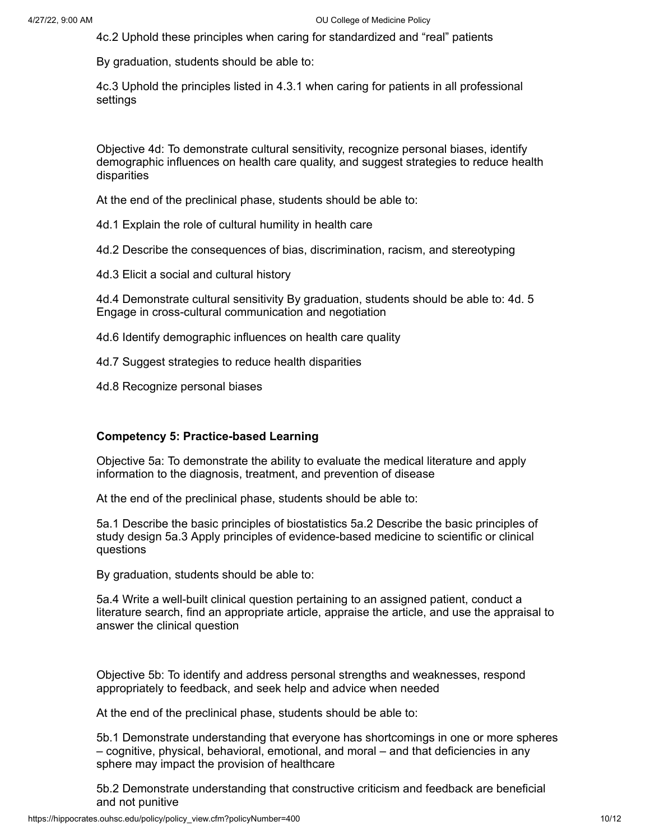4c.2 Uphold these principles when caring for standardized and "real" patients

By graduation, students should be able to:

4c.3 Uphold the principles listed in 4.3.1 when caring for patients in all professional settings

Objective 4d: To demonstrate cultural sensitivity, recognize personal biases, identify demographic influences on health care quality, and suggest strategies to reduce health disparities

At the end of the preclinical phase, students should be able to:

4d.1 Explain the role of cultural humility in health care

4d.2 Describe the consequences of bias, discrimination, racism, and stereotyping

4d.3 Elicit a social and cultural history

4d.4 Demonstrate cultural sensitivity By graduation, students should be able to: 4d. 5 Engage in cross-cultural communication and negotiation

4d.6 Identify demographic influences on health care quality

- 4d.7 Suggest strategies to reduce health disparities
- 4d.8 Recognize personal biases

#### **Competency 5: Practice-based Learning**

Objective 5a: To demonstrate the ability to evaluate the medical literature and apply information to the diagnosis, treatment, and prevention of disease

At the end of the preclinical phase, students should be able to:

5a.1 Describe the basic principles of biostatistics 5a.2 Describe the basic principles of study design 5a.3 Apply principles of evidence-based medicine to scientific or clinical questions

By graduation, students should be able to:

5a.4 Write a well-built clinical question pertaining to an assigned patient, conduct a literature search, find an appropriate article, appraise the article, and use the appraisal to answer the clinical question

Objective 5b: To identify and address personal strengths and weaknesses, respond appropriately to feedback, and seek help and advice when needed

At the end of the preclinical phase, students should be able to:

5b.1 Demonstrate understanding that everyone has shortcomings in one or more spheres – cognitive, physical, behavioral, emotional, and moral – and that deficiencies in any sphere may impact the provision of healthcare

5b.2 Demonstrate understanding that constructive criticism and feedback are beneficial and not punitive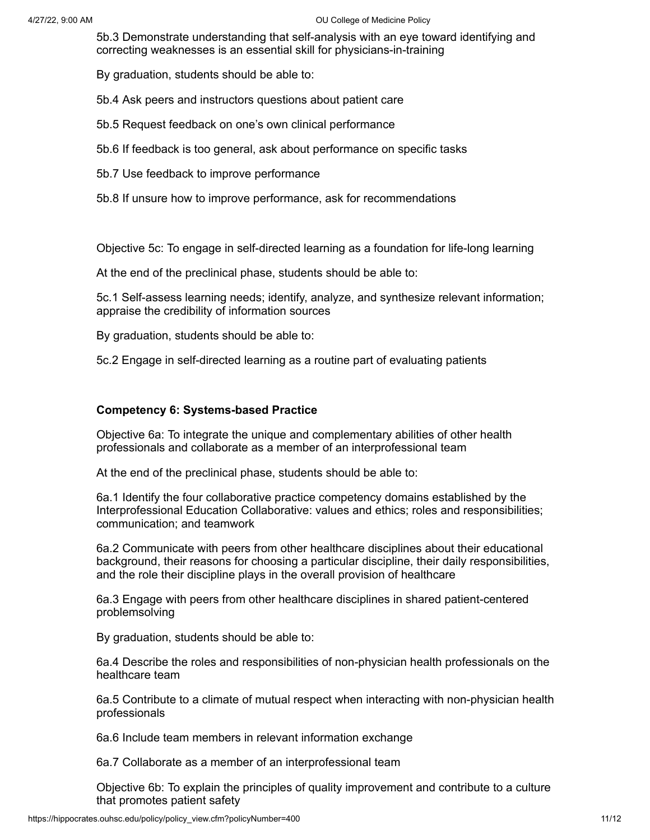5b.3 Demonstrate understanding that self-analysis with an eye toward identifying and correcting weaknesses is an essential skill for physicians-in-training

By graduation, students should be able to:

5b.4 Ask peers and instructors questions about patient care

5b.5 Request feedback on one's own clinical performance

- 5b.6 If feedback is too general, ask about performance on specific tasks
- 5b.7 Use feedback to improve performance

5b.8 If unsure how to improve performance, ask for recommendations

Objective 5c: To engage in self-directed learning as a foundation for life-long learning

At the end of the preclinical phase, students should be able to:

5c.1 Self-assess learning needs; identify, analyze, and synthesize relevant information; appraise the credibility of information sources

By graduation, students should be able to:

5c.2 Engage in self-directed learning as a routine part of evaluating patients

#### **Competency 6: Systems-based Practice**

Objective 6a: To integrate the unique and complementary abilities of other health professionals and collaborate as a member of an interprofessional team

At the end of the preclinical phase, students should be able to:

6a.1 Identify the four collaborative practice competency domains established by the Interprofessional Education Collaborative: values and ethics; roles and responsibilities; communication; and teamwork

6a.2 Communicate with peers from other healthcare disciplines about their educational background, their reasons for choosing a particular discipline, their daily responsibilities, and the role their discipline plays in the overall provision of healthcare

6a.3 Engage with peers from other healthcare disciplines in shared patient-centered problemsolving

By graduation, students should be able to:

6a.4 Describe the roles and responsibilities of non-physician health professionals on the healthcare team

6a.5 Contribute to a climate of mutual respect when interacting with non-physician health professionals

6a.6 Include team members in relevant information exchange

6a.7 Collaborate as a member of an interprofessional team

Objective 6b: To explain the principles of quality improvement and contribute to a culture that promotes patient safety